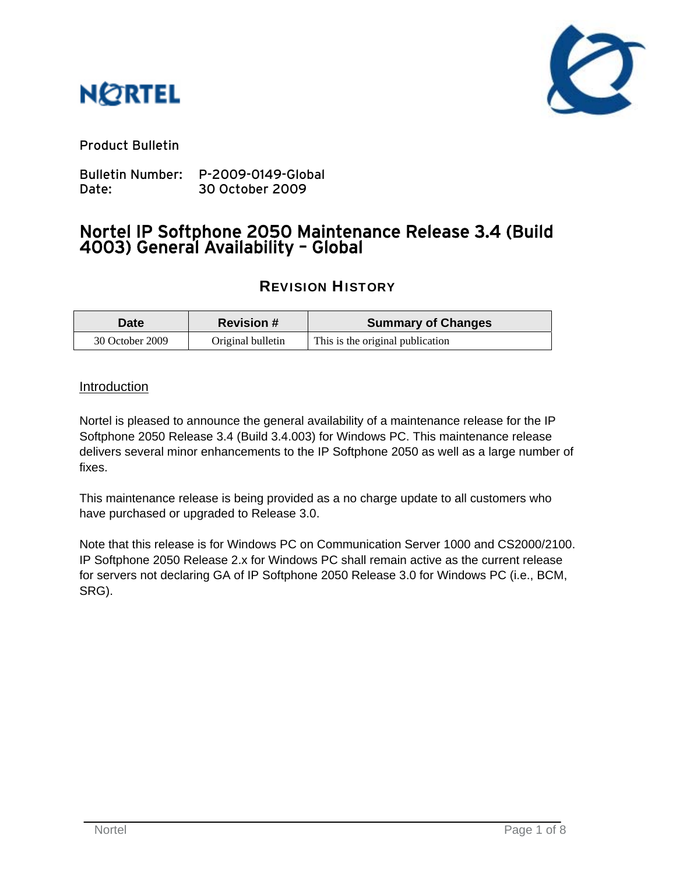



Product Bulletin

Bulletin Number: P-2009-0149-Global Date: 30 October 2009

# Nortel IP Softphone 2050 Maintenance Release 3.4 (Build 4003) General Availability – Global

# REVISION HISTORY

| <b>Date</b>     | <b>Revision #</b> | <b>Summary of Changes</b>        |
|-----------------|-------------------|----------------------------------|
| 30 October 2009 | Original bulletin | This is the original publication |

### Introduction

Nortel is pleased to announce the general availability of a maintenance release for the IP Softphone 2050 Release 3.4 (Build 3.4.003) for Windows PC. This maintenance release delivers several minor enhancements to the IP Softphone 2050 as well as a large number of fixes.

This maintenance release is being provided as a no charge update to all customers who have purchased or upgraded to Release 3.0.

Note that this release is for Windows PC on Communication Server 1000 and CS2000/2100. IP Softphone 2050 Release 2.x for Windows PC shall remain active as the current release for servers not declaring GA of IP Softphone 2050 Release 3.0 for Windows PC (i.e., BCM, SRG).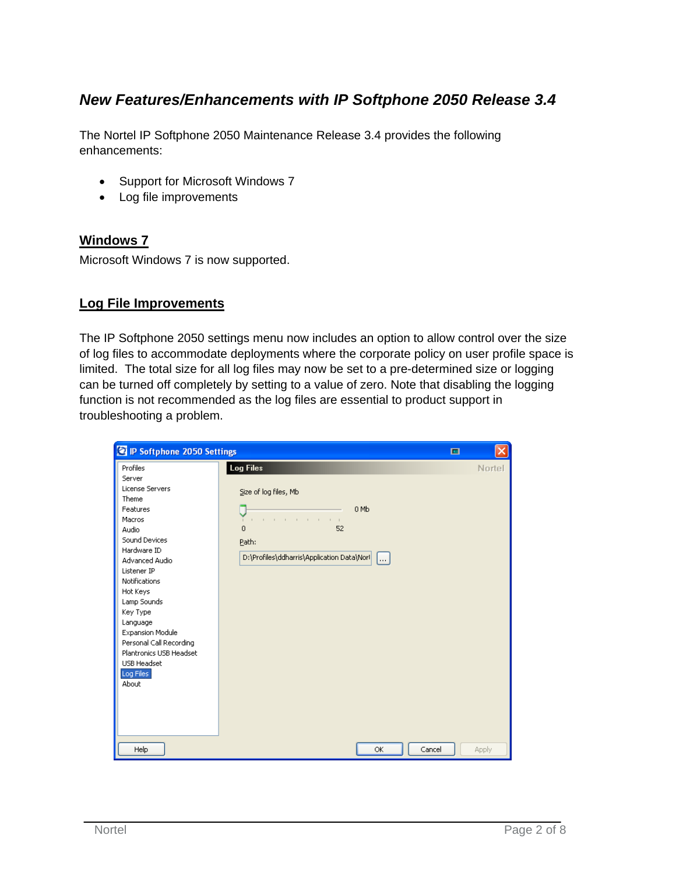## *New Features/Enhancements with IP Softphone 2050 Release 3.4*

The Nortel IP Softphone 2050 Maintenance Release 3.4 provides the following enhancements:

- Support for Microsoft Windows 7
- Log file improvements

#### **Windows 7**

Microsoft Windows 7 is now supported.

#### **Log File Improvements**

The IP Softphone 2050 settings menu now includes an option to allow control over the size of log files to accommodate deployments where the corporate policy on user profile space is limited. The total size for all log files may now be set to a pre-determined size or logging can be turned off completely by setting to a value of zero. Note that disabling the logging function is not recommended as the log files are essential to product support in troubleshooting a problem.

| R IP Softphone 2050 Settings                                                                                                                                                                                                                                                                                                                    |                                                                                                                                                                              | 回 | ×            |
|-------------------------------------------------------------------------------------------------------------------------------------------------------------------------------------------------------------------------------------------------------------------------------------------------------------------------------------------------|------------------------------------------------------------------------------------------------------------------------------------------------------------------------------|---|--------------|
| Profiles<br>Server<br><b>License Servers</b><br>Theme<br>Features<br>Macros<br>Audio<br>Sound Devices<br>Hardware ID<br>Advanced Audio<br>Listener IP<br>Notifications<br>Hot Keys<br>Lamp Sounds<br>Key Type<br>Language<br>Expansion Module<br>Personal Call Recording<br>Plantronics USB Headset<br><b>USB Headset</b><br>Log Files<br>About | <b>Log Files</b><br>Size of log files, Mb<br>0 Mb<br>the contract of the con-<br>$\mathbf{r}$<br>$\overline{0}$<br>52<br>Path:<br>D:\Profiles\ddharris\Application Data\Norl |   | Nortel       |
| Help                                                                                                                                                                                                                                                                                                                                            | ОК<br>Cancel                                                                                                                                                                 |   | <b>Apply</b> |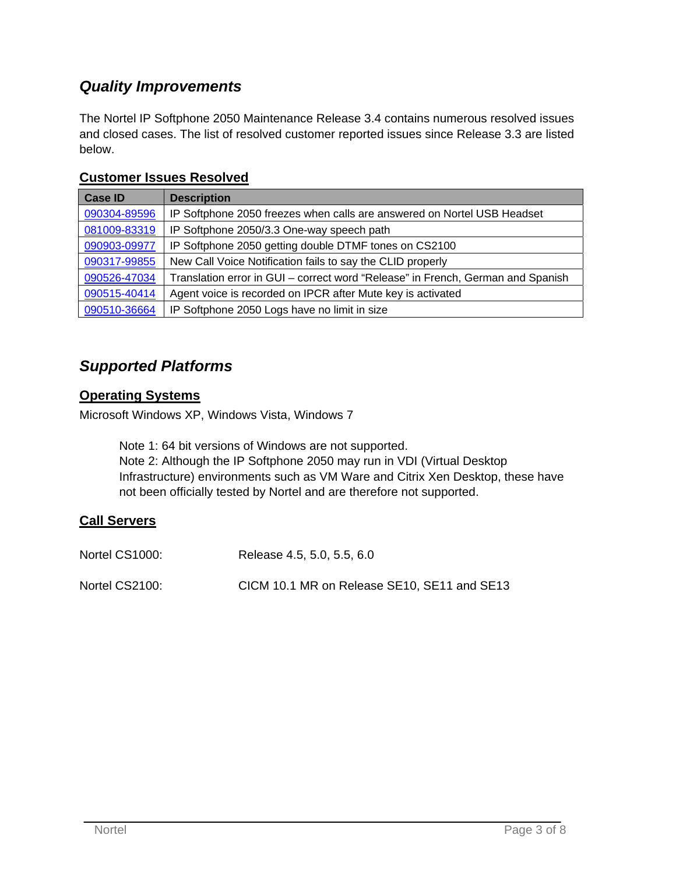# *Quality Improvements*

The Nortel IP Softphone 2050 Maintenance Release 3.4 contains numerous resolved issues and closed cases. The list of resolved customer reported issues since Release 3.3 are listed below.

| <b>Case ID</b> | <b>Description</b>                                                              |
|----------------|---------------------------------------------------------------------------------|
| 090304-89596   | IP Softphone 2050 freezes when calls are answered on Nortel USB Headset         |
| 081009-83319   | IP Softphone 2050/3.3 One-way speech path                                       |
| 090903-09977   | IP Softphone 2050 getting double DTMF tones on CS2100                           |
| 090317-99855   | New Call Voice Notification fails to say the CLID properly                      |
| 090526-47034   | Translation error in GUI - correct word "Release" in French, German and Spanish |
| 090515-40414   | Agent voice is recorded on IPCR after Mute key is activated                     |
| 090510-36664   | IP Softphone 2050 Logs have no limit in size                                    |

### **Customer Issues Resolved**

### *Supported Platforms*

### **Operating Systems**

Microsoft Windows XP, Windows Vista, Windows 7

Note 1: 64 bit versions of Windows are not supported. Note 2: Although the IP Softphone 2050 may run in VDI (Virtual Desktop Infrastructure) environments such as VM Ware and Citrix Xen Desktop, these have not been officially tested by Nortel and are therefore not supported.

### **Call Servers**

| Nortel CS1000: | Release 4.5, 5.0, 5.5, 6.0                  |
|----------------|---------------------------------------------|
| Nortel CS2100: | CICM 10.1 MR on Release SE10, SE11 and SE13 |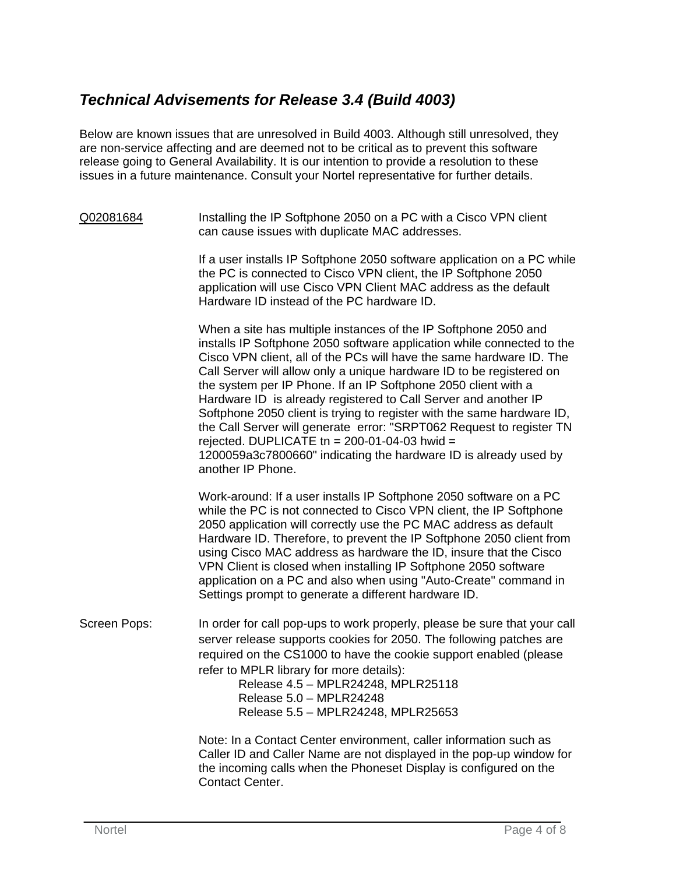# *Technical Advisements for Release 3.4 (Build 4003)*

Below are known issues that are unresolved in Build 4003. Although still unresolved, they are non-service affecting and are deemed not to be critical as to prevent this software release going to General Availability. It is our intention to provide a resolution to these issues in a future maintenance. Consult your Nortel representative for further details.

#### Q02081684 Installing the IP Softphone 2050 on a PC with a Cisco VPN client can cause issues with duplicate MAC addresses.

If a user installs IP Softphone 2050 software application on a PC while the PC is connected to Cisco VPN client, the IP Softphone 2050 application will use Cisco VPN Client MAC address as the default Hardware ID instead of the PC hardware ID.

When a site has multiple instances of the IP Softphone 2050 and installs IP Softphone 2050 software application while connected to the Cisco VPN client, all of the PCs will have the same hardware ID. The Call Server will allow only a unique hardware ID to be registered on the system per IP Phone. If an IP Softphone 2050 client with a Hardware ID is already registered to Call Server and another IP Softphone 2050 client is trying to register with the same hardware ID, the Call Server will generate error: "SRPT062 Request to register TN rejected. DUPLICATE tn =  $200-01-04-03$  hwid = 1200059a3c7800660" indicating the hardware ID is already used by another IP Phone.

Work-around: If a user installs IP Softphone 2050 software on a PC while the PC is not connected to Cisco VPN client, the IP Softphone 2050 application will correctly use the PC MAC address as default Hardware ID. Therefore, to prevent the IP Softphone 2050 client from using Cisco MAC address as hardware the ID, insure that the Cisco VPN Client is closed when installing IP Softphone 2050 software application on a PC and also when using "Auto-Create" command in Settings prompt to generate a different hardware ID.

Screen Pops: In order for call pop-ups to work properly, please be sure that your call server release supports cookies for 2050. The following patches are required on the CS1000 to have the cookie support enabled (please refer to MPLR library for more details):

Release 4.5 – MPLR24248, MPLR25118 Release 5.0 – MPLR24248 Release 5.5 – MPLR24248, MPLR25653

Note: In a Contact Center environment, caller information such as Caller ID and Caller Name are not displayed in the pop-up window for the incoming calls when the Phoneset Display is configured on the Contact Center.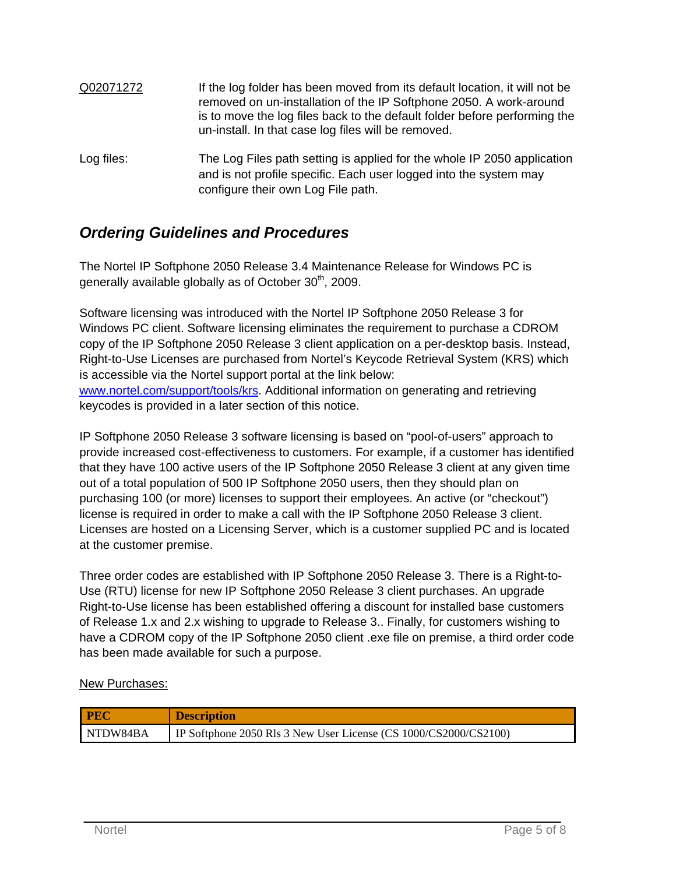| Q02071272  | If the log folder has been moved from its default location, it will not be<br>removed on un-installation of the IP Softphone 2050. A work-around<br>is to move the log files back to the default folder before performing the<br>un-install. In that case log files will be removed. |
|------------|--------------------------------------------------------------------------------------------------------------------------------------------------------------------------------------------------------------------------------------------------------------------------------------|
| Log files: | The Log Files path setting is applied for the whole IP 2050 application<br>and is not profile specific. Each user logged into the system may<br>configure their own Log File path.                                                                                                   |

## *Ordering Guidelines and Procedures*

The Nortel IP Softphone 2050 Release 3.4 Maintenance Release for Windows PC is generally available globally as of October  $30<sup>th</sup>$ , 2009.

Software licensing was introduced with the Nortel IP Softphone 2050 Release 3 for Windows PC client. Software licensing eliminates the requirement to purchase a CDROM copy of the IP Softphone 2050 Release 3 client application on a per-desktop basis. Instead, Right-to-Use Licenses are purchased from Nortel's Keycode Retrieval System (KRS) which is accessible via the Nortel support portal at the link below: www.nortel.com/support/tools/krs. Additional information on generating and retrieving keycodes is provided in a later section of this notice.

IP Softphone 2050 Release 3 software licensing is based on "pool-of-users" approach to provide increased cost-effectiveness to customers. For example, if a customer has identified that they have 100 active users of the IP Softphone 2050 Release 3 client at any given time out of a total population of 500 IP Softphone 2050 users, then they should plan on purchasing 100 (or more) licenses to support their employees. An active (or "checkout") license is required in order to make a call with the IP Softphone 2050 Release 3 client. Licenses are hosted on a Licensing Server, which is a customer supplied PC and is located at the customer premise.

Three order codes are established with IP Softphone 2050 Release 3. There is a Right-to-Use (RTU) license for new IP Softphone 2050 Release 3 client purchases. An upgrade Right-to-Use license has been established offering a discount for installed base customers of Release 1.x and 2.x wishing to upgrade to Release 3.. Finally, for customers wishing to have a CDROM copy of the IP Softphone 2050 client .exe file on premise, a third order code has been made available for such a purpose.

#### New Purchases:

| PEC      | <b>Description</b>                                               |
|----------|------------------------------------------------------------------|
| NTDW84BA | IP Softphone 2050 Rls 3 New User License (CS 1000/CS2000/CS2100) |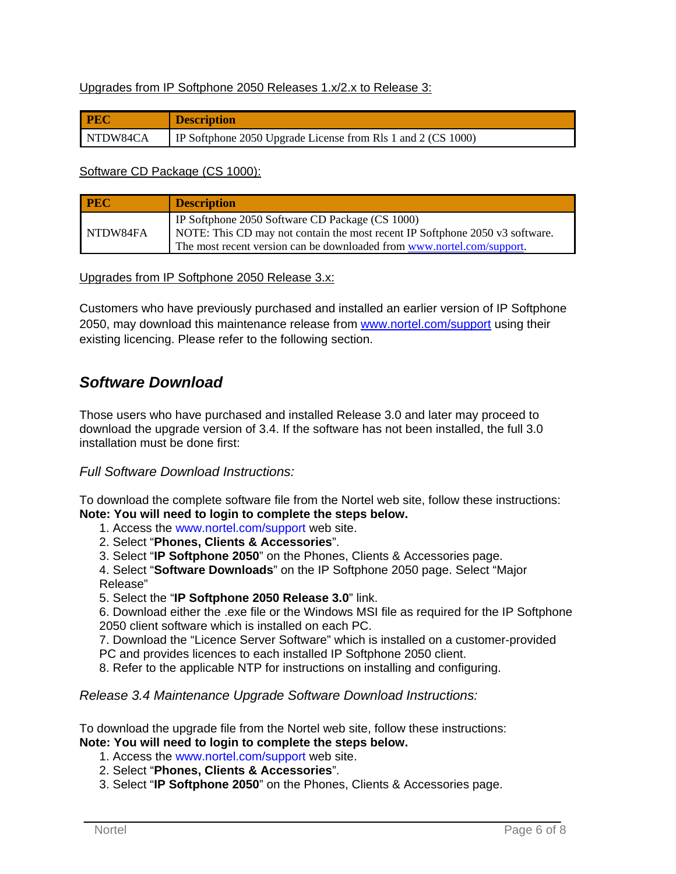#### Upgrades from IP Softphone 2050 Releases 1.x/2.x to Release 3:

| <b>PEC</b> | <b>Description</b>                                                  |
|------------|---------------------------------------------------------------------|
| NTDW84CA   | <b>IP</b> Softphone 2050 Upgrade License from Rls 1 and 2 (CS 1000) |

Software CD Package (CS 1000):

| <b>PEC</b> | <b>Description</b>                                                                                                                |
|------------|-----------------------------------------------------------------------------------------------------------------------------------|
| NTDW84FA   | IP Softphone 2050 Software CD Package (CS 1000)<br>  NOTE: This CD may not contain the most recent IP Softphone 2050 v3 software. |
|            | The most recent version can be downloaded from www.nortel.com/support.                                                            |

Upgrades from IP Softphone 2050 Release 3.x:

Customers who have previously purchased and installed an earlier version of IP Softphone 2050, may download this maintenance release from www.nortel.com/support using their existing licencing. Please refer to the following section.

### *Software Download*

Those users who have purchased and installed Release 3.0 and later may proceed to download the upgrade version of 3.4. If the software has not been installed, the full 3.0 installation must be done first:

#### *Full Software Download Instructions:*

To download the complete software file from the Nortel web site, follow these instructions: **Note: You will need to login to complete the steps below.** 

- 1. Access the www.nortel.com/support web site.
- 2. Select "**Phones, Clients & Accessories**".
- 3. Select "**IP Softphone 2050**" on the Phones, Clients & Accessories page.

4. Select "**Software Downloads**" on the IP Softphone 2050 page. Select "Major

- Release"
- 5. Select the "**IP Softphone 2050 Release 3.0**" link.

6. Download either the .exe file or the Windows MSI file as required for the IP Softphone 2050 client software which is installed on each PC.

7. Download the "Licence Server Software" which is installed on a customer-provided PC and provides licences to each installed IP Softphone 2050 client.

8. Refer to the applicable NTP for instructions on installing and configuring.

*Release 3.4 Maintenance Upgrade Software Download Instructions:* 

To download the upgrade file from the Nortel web site, follow these instructions: **Note: You will need to login to complete the steps below.** 

- 1. Access the www.nortel.com/support web site.
- 2. Select "**Phones, Clients & Accessories**".
- 3. Select "**IP Softphone 2050**" on the Phones, Clients & Accessories page.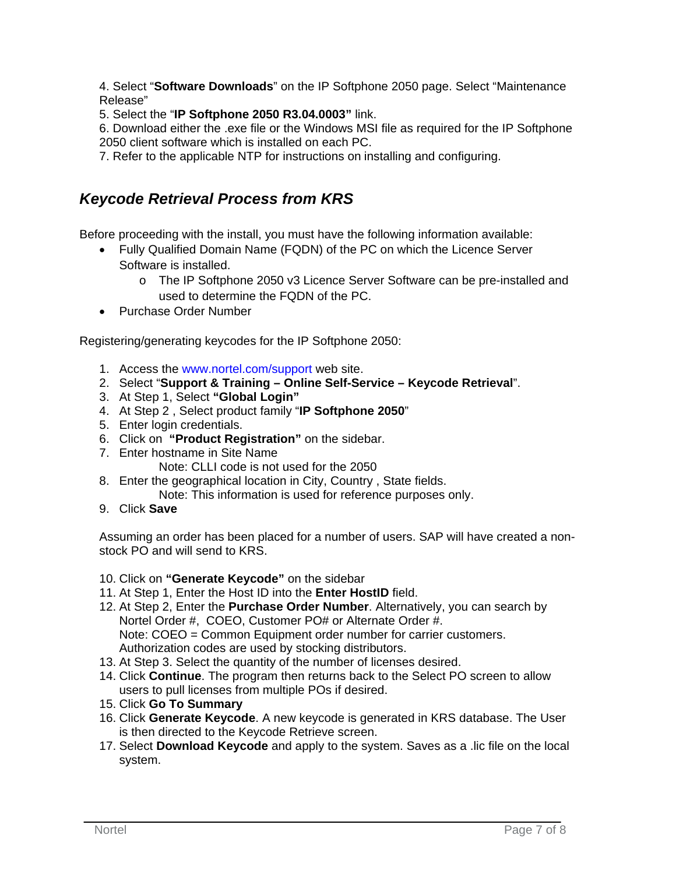4. Select "**Software Downloads**" on the IP Softphone 2050 page. Select "Maintenance Release"

5. Select the "**IP Softphone 2050 R3.04.0003"** link.

6. Download either the .exe file or the Windows MSI file as required for the IP Softphone 2050 client software which is installed on each PC.

7. Refer to the applicable NTP for instructions on installing and configuring.

# *Keycode Retrieval Process from KRS*

Before proceeding with the install, you must have the following information available:

- Fully Qualified Domain Name (FQDN) of the PC on which the Licence Server Software is installed.
	- o The IP Softphone 2050 v3 Licence Server Software can be pre-installed and used to determine the FQDN of the PC.
- Purchase Order Number

Registering/generating keycodes for the IP Softphone 2050:

- 1. Access the www.nortel.com/support web site.
- 2. Select "**Support & Training Online Self-Service Keycode Retrieval**".
- 3. At Step 1, Select **"Global Login"**
- 4. At Step 2 , Select product family "**IP Softphone 2050**"
- 5. Enter login credentials.
- 6. Click on **"Product Registration"** on the sidebar.
- 7. Enter hostname in Site Name
	- Note: CLLI code is not used for the 2050
- 8. Enter the geographical location in City, Country , State fields.
	- Note: This information is used for reference purposes only.
- 9. Click **Save**

Assuming an order has been placed for a number of users. SAP will have created a nonstock PO and will send to KRS.

- 10. Click on **"Generate Keycode"** on the sidebar
- 11. At Step 1, Enter the Host ID into the **Enter HostID** field.
- 12. At Step 2, Enter the **Purchase Order Number**. Alternatively, you can search by Nortel Order #, COEO, Customer PO# or Alternate Order #. Note: COEO = Common Equipment order number for carrier customers. Authorization codes are used by stocking distributors.
- 13. At Step 3. Select the quantity of the number of licenses desired.
- 14. Click **Continue**. The program then returns back to the Select PO screen to allow users to pull licenses from multiple POs if desired.
- 15. Click **Go To Summary**
- 16. Click **Generate Keycode**. A new keycode is generated in KRS database. The User is then directed to the Keycode Retrieve screen.
- 17. Select **Download Keycode** and apply to the system. Saves as a .lic file on the local system.